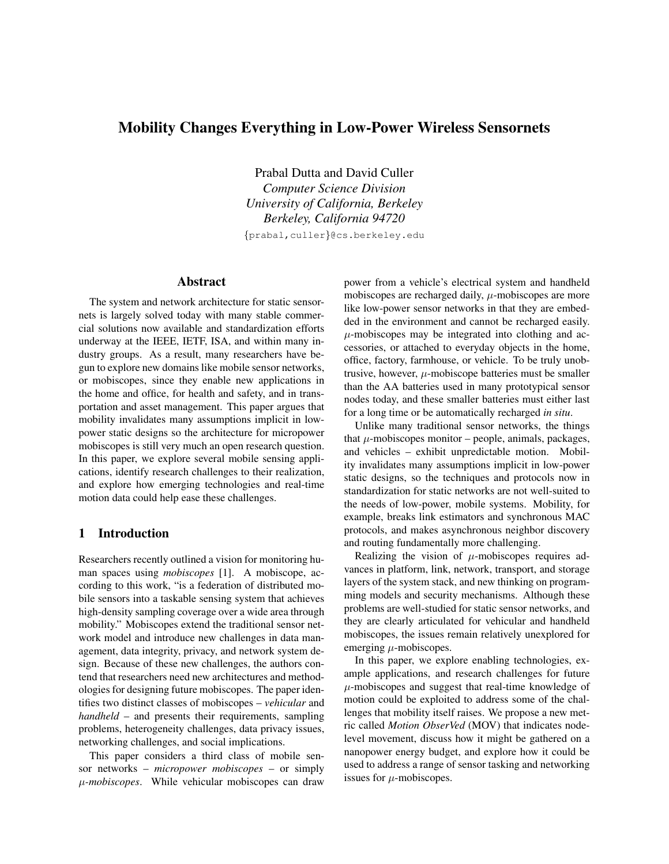# Mobility Changes Everything in Low-Power Wireless Sensornets

Prabal Dutta and David Culler *Computer Science Division University of California, Berkeley Berkeley, California 94720*

{prabal,culler}@cs.berkeley.edu

## Abstract

The system and network architecture for static sensornets is largely solved today with many stable commercial solutions now available and standardization efforts underway at the IEEE, IETF, ISA, and within many industry groups. As a result, many researchers have begun to explore new domains like mobile sensor networks, or mobiscopes, since they enable new applications in the home and office, for health and safety, and in transportation and asset management. This paper argues that mobility invalidates many assumptions implicit in lowpower static designs so the architecture for micropower mobiscopes is still very much an open research question. In this paper, we explore several mobile sensing applications, identify research challenges to their realization, and explore how emerging technologies and real-time motion data could help ease these challenges.

## 1 Introduction

Researchers recently outlined a vision for monitoring human spaces using *mobiscopes* [1]. A mobiscope, according to this work, "is a federation of distributed mobile sensors into a taskable sensing system that achieves high-density sampling coverage over a wide area through mobility." Mobiscopes extend the traditional sensor network model and introduce new challenges in data management, data integrity, privacy, and network system design. Because of these new challenges, the authors contend that researchers need new architectures and methodologies for designing future mobiscopes. The paper identifies two distinct classes of mobiscopes – *vehicular* and *handheld* – and presents their requirements, sampling problems, heterogeneity challenges, data privacy issues, networking challenges, and social implications.

This paper considers a third class of mobile sensor networks – *micropower mobiscopes* – or simply µ*-mobiscopes*. While vehicular mobiscopes can draw power from a vehicle's electrical system and handheld mobiscopes are recharged daily,  $\mu$ -mobiscopes are more like low-power sensor networks in that they are embedded in the environment and cannot be recharged easily.  $\mu$ -mobiscopes may be integrated into clothing and accessories, or attached to everyday objects in the home, office, factory, farmhouse, or vehicle. To be truly unobtrusive, however,  $\mu$ -mobiscope batteries must be smaller than the AA batteries used in many prototypical sensor nodes today, and these smaller batteries must either last for a long time or be automatically recharged *in situ*.

Unlike many traditional sensor networks, the things that  $\mu$ -mobiscopes monitor – people, animals, packages, and vehicles – exhibit unpredictable motion. Mobility invalidates many assumptions implicit in low-power static designs, so the techniques and protocols now in standardization for static networks are not well-suited to the needs of low-power, mobile systems. Mobility, for example, breaks link estimators and synchronous MAC protocols, and makes asynchronous neighbor discovery and routing fundamentally more challenging.

Realizing the vision of  $\mu$ -mobiscopes requires advances in platform, link, network, transport, and storage layers of the system stack, and new thinking on programming models and security mechanisms. Although these problems are well-studied for static sensor networks, and they are clearly articulated for vehicular and handheld mobiscopes, the issues remain relatively unexplored for emerging  $\mu$ -mobiscopes.

In this paper, we explore enabling technologies, example applications, and research challenges for future  $\mu$ -mobiscopes and suggest that real-time knowledge of motion could be exploited to address some of the challenges that mobility itself raises. We propose a new metric called *Motion ObserVed* (MOV) that indicates nodelevel movement, discuss how it might be gathered on a nanopower energy budget, and explore how it could be used to address a range of sensor tasking and networking issues for  $\mu$ -mobiscopes.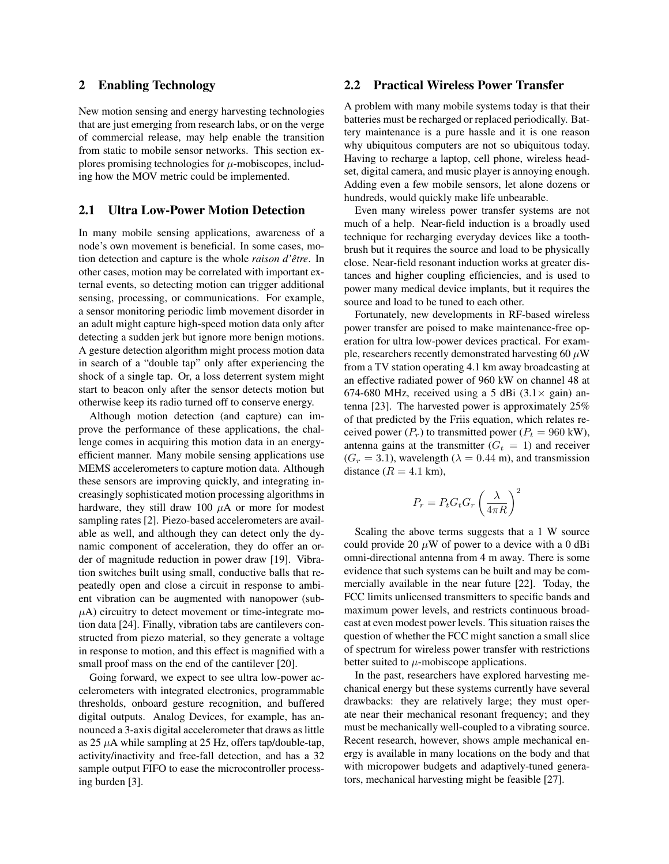#### 2 Enabling Technology

New motion sensing and energy harvesting technologies that are just emerging from research labs, or on the verge of commercial release, may help enable the transition from static to mobile sensor networks. This section explores promising technologies for  $\mu$ -mobiscopes, including how the MOV metric could be implemented.

## 2.1 Ultra Low-Power Motion Detection

In many mobile sensing applications, awareness of a node's own movement is beneficial. In some cases, motion detection and capture is the whole *raison d'être*. In other cases, motion may be correlated with important external events, so detecting motion can trigger additional sensing, processing, or communications. For example, a sensor monitoring periodic limb movement disorder in an adult might capture high-speed motion data only after detecting a sudden jerk but ignore more benign motions. A gesture detection algorithm might process motion data in search of a "double tap" only after experiencing the shock of a single tap. Or, a loss deterrent system might start to beacon only after the sensor detects motion but otherwise keep its radio turned off to conserve energy.

Although motion detection (and capture) can improve the performance of these applications, the challenge comes in acquiring this motion data in an energyefficient manner. Many mobile sensing applications use MEMS accelerometers to capture motion data. Although these sensors are improving quickly, and integrating increasingly sophisticated motion processing algorithms in hardware, they still draw 100  $\mu$ A or more for modest sampling rates [2]. Piezo-based accelerometers are available as well, and although they can detect only the dynamic component of acceleration, they do offer an order of magnitude reduction in power draw [19]. Vibration switches built using small, conductive balls that repeatedly open and close a circuit in response to ambient vibration can be augmented with nanopower (sub- $\mu$ A) circuitry to detect movement or time-integrate motion data [24]. Finally, vibration tabs are cantilevers constructed from piezo material, so they generate a voltage in response to motion, and this effect is magnified with a small proof mass on the end of the cantilever [20].

Going forward, we expect to see ultra low-power accelerometers with integrated electronics, programmable thresholds, onboard gesture recognition, and buffered digital outputs. Analog Devices, for example, has announced a 3-axis digital accelerometer that draws as little as 25  $\mu$ A while sampling at 25 Hz, offers tap/double-tap, activity/inactivity and free-fall detection, and has a 32 sample output FIFO to ease the microcontroller processing burden [3].

## 2.2 Practical Wireless Power Transfer

A problem with many mobile systems today is that their batteries must be recharged or replaced periodically. Battery maintenance is a pure hassle and it is one reason why ubiquitous computers are not so ubiquitous today. Having to recharge a laptop, cell phone, wireless headset, digital camera, and music player is annoying enough. Adding even a few mobile sensors, let alone dozens or hundreds, would quickly make life unbearable.

Even many wireless power transfer systems are not much of a help. Near-field induction is a broadly used technique for recharging everyday devices like a toothbrush but it requires the source and load to be physically close. Near-field resonant induction works at greater distances and higher coupling efficiencies, and is used to power many medical device implants, but it requires the source and load to be tuned to each other.

Fortunately, new developments in RF-based wireless power transfer are poised to make maintenance-free operation for ultra low-power devices practical. For example, researchers recently demonstrated harvesting 60  $\mu$ W from a TV station operating 4.1 km away broadcasting at an effective radiated power of 960 kW on channel 48 at 674-680 MHz, received using a 5 dBi  $(3.1 \times \text{gain})$  antenna [23]. The harvested power is approximately 25% of that predicted by the Friis equation, which relates received power  $(P_r)$  to transmitted power  $(P_t = 960 \text{ kW})$ , antenna gains at the transmitter  $(G_t = 1)$  and receiver  $(G_r = 3.1)$ , wavelength  $(\lambda = 0.44 \text{ m})$ , and transmission distance  $(R = 4.1$  km),

$$
P_r = P_t G_t G_r \left(\frac{\lambda}{4\pi R}\right)^2
$$

Scaling the above terms suggests that a 1 W source could provide 20  $\mu$ W of power to a device with a 0 dBi omni-directional antenna from 4 m away. There is some evidence that such systems can be built and may be commercially available in the near future [22]. Today, the FCC limits unlicensed transmitters to specific bands and maximum power levels, and restricts continuous broadcast at even modest power levels. This situation raises the question of whether the FCC might sanction a small slice of spectrum for wireless power transfer with restrictions better suited to  $\mu$ -mobiscope applications.

In the past, researchers have explored harvesting mechanical energy but these systems currently have several drawbacks: they are relatively large; they must operate near their mechanical resonant frequency; and they must be mechanically well-coupled to a vibrating source. Recent research, however, shows ample mechanical energy is available in many locations on the body and that with micropower budgets and adaptively-tuned generators, mechanical harvesting might be feasible [27].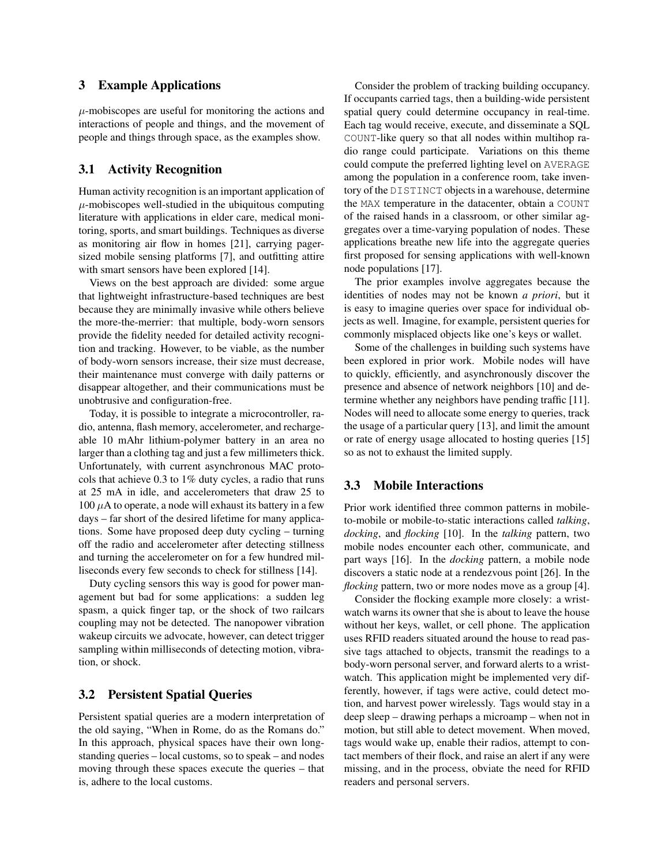#### 3 Example Applications

 $\mu$ -mobiscopes are useful for monitoring the actions and interactions of people and things, and the movement of people and things through space, as the examples show.

## 3.1 Activity Recognition

Human activity recognition is an important application of  $\mu$ -mobiscopes well-studied in the ubiquitous computing literature with applications in elder care, medical monitoring, sports, and smart buildings. Techniques as diverse as monitoring air flow in homes [21], carrying pagersized mobile sensing platforms [7], and outfitting attire with smart sensors have been explored [14].

Views on the best approach are divided: some argue that lightweight infrastructure-based techniques are best because they are minimally invasive while others believe the more-the-merrier: that multiple, body-worn sensors provide the fidelity needed for detailed activity recognition and tracking. However, to be viable, as the number of body-worn sensors increase, their size must decrease, their maintenance must converge with daily patterns or disappear altogether, and their communications must be unobtrusive and configuration-free.

Today, it is possible to integrate a microcontroller, radio, antenna, flash memory, accelerometer, and rechargeable 10 mAhr lithium-polymer battery in an area no larger than a clothing tag and just a few millimeters thick. Unfortunately, with current asynchronous MAC protocols that achieve 0.3 to 1% duty cycles, a radio that runs at 25 mA in idle, and accelerometers that draw 25 to  $100 \mu A$  to operate, a node will exhaust its battery in a few days – far short of the desired lifetime for many applications. Some have proposed deep duty cycling – turning off the radio and accelerometer after detecting stillness and turning the accelerometer on for a few hundred milliseconds every few seconds to check for stillness [14].

Duty cycling sensors this way is good for power management but bad for some applications: a sudden leg spasm, a quick finger tap, or the shock of two railcars coupling may not be detected. The nanopower vibration wakeup circuits we advocate, however, can detect trigger sampling within milliseconds of detecting motion, vibration, or shock.

### 3.2 Persistent Spatial Queries

Persistent spatial queries are a modern interpretation of the old saying, "When in Rome, do as the Romans do." In this approach, physical spaces have their own longstanding queries – local customs, so to speak – and nodes moving through these spaces execute the queries – that is, adhere to the local customs.

Consider the problem of tracking building occupancy. If occupants carried tags, then a building-wide persistent spatial query could determine occupancy in real-time. Each tag would receive, execute, and disseminate a SQL COUNT-like query so that all nodes within multihop radio range could participate. Variations on this theme could compute the preferred lighting level on AVERAGE among the population in a conference room, take inventory of the DISTINCT objects in a warehouse, determine the MAX temperature in the datacenter, obtain a COUNT of the raised hands in a classroom, or other similar aggregates over a time-varying population of nodes. These applications breathe new life into the aggregate queries first proposed for sensing applications with well-known node populations [17].

The prior examples involve aggregates because the identities of nodes may not be known *a priori*, but it is easy to imagine queries over space for individual objects as well. Imagine, for example, persistent queries for commonly misplaced objects like one's keys or wallet.

Some of the challenges in building such systems have been explored in prior work. Mobile nodes will have to quickly, efficiently, and asynchronously discover the presence and absence of network neighbors [10] and determine whether any neighbors have pending traffic [11]. Nodes will need to allocate some energy to queries, track the usage of a particular query [13], and limit the amount or rate of energy usage allocated to hosting queries [15] so as not to exhaust the limited supply.

## 3.3 Mobile Interactions

Prior work identified three common patterns in mobileto-mobile or mobile-to-static interactions called *talking*, *docking*, and *flocking* [10]. In the *talking* pattern, two mobile nodes encounter each other, communicate, and part ways [16]. In the *docking* pattern, a mobile node discovers a static node at a rendezvous point [26]. In the *flocking* pattern, two or more nodes move as a group [4].

Consider the flocking example more closely: a wristwatch warns its owner that she is about to leave the house without her keys, wallet, or cell phone. The application uses RFID readers situated around the house to read passive tags attached to objects, transmit the readings to a body-worn personal server, and forward alerts to a wristwatch. This application might be implemented very differently, however, if tags were active, could detect motion, and harvest power wirelessly. Tags would stay in a deep sleep – drawing perhaps a microamp – when not in motion, but still able to detect movement. When moved, tags would wake up, enable their radios, attempt to contact members of their flock, and raise an alert if any were missing, and in the process, obviate the need for RFID readers and personal servers.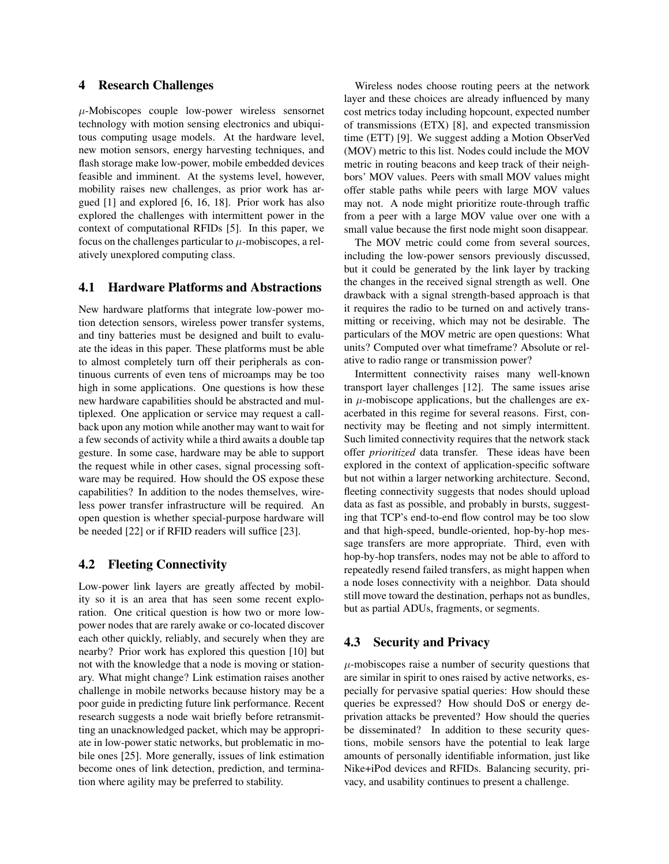#### 4 Research Challenges

 $\mu$ -Mobiscopes couple low-power wireless sensornet technology with motion sensing electronics and ubiquitous computing usage models. At the hardware level, new motion sensors, energy harvesting techniques, and flash storage make low-power, mobile embedded devices feasible and imminent. At the systems level, however, mobility raises new challenges, as prior work has argued [1] and explored [6, 16, 18]. Prior work has also explored the challenges with intermittent power in the context of computational RFIDs [5]. In this paper, we focus on the challenges particular to  $\mu$ -mobiscopes, a relatively unexplored computing class.

#### 4.1 Hardware Platforms and Abstractions

New hardware platforms that integrate low-power motion detection sensors, wireless power transfer systems, and tiny batteries must be designed and built to evaluate the ideas in this paper. These platforms must be able to almost completely turn off their peripherals as continuous currents of even tens of microamps may be too high in some applications. One questions is how these new hardware capabilities should be abstracted and multiplexed. One application or service may request a callback upon any motion while another may want to wait for a few seconds of activity while a third awaits a double tap gesture. In some case, hardware may be able to support the request while in other cases, signal processing software may be required. How should the OS expose these capabilities? In addition to the nodes themselves, wireless power transfer infrastructure will be required. An open question is whether special-purpose hardware will be needed [22] or if RFID readers will suffice [23].

### 4.2 Fleeting Connectivity

Low-power link layers are greatly affected by mobility so it is an area that has seen some recent exploration. One critical question is how two or more lowpower nodes that are rarely awake or co-located discover each other quickly, reliably, and securely when they are nearby? Prior work has explored this question [10] but not with the knowledge that a node is moving or stationary. What might change? Link estimation raises another challenge in mobile networks because history may be a poor guide in predicting future link performance. Recent research suggests a node wait briefly before retransmitting an unacknowledged packet, which may be appropriate in low-power static networks, but problematic in mobile ones [25]. More generally, issues of link estimation become ones of link detection, prediction, and termination where agility may be preferred to stability.

Wireless nodes choose routing peers at the network layer and these choices are already influenced by many cost metrics today including hopcount, expected number of transmissions (ETX) [8], and expected transmission time (ETT) [9]. We suggest adding a Motion ObserVed (MOV) metric to this list. Nodes could include the MOV metric in routing beacons and keep track of their neighbors' MOV values. Peers with small MOV values might offer stable paths while peers with large MOV values may not. A node might prioritize route-through traffic from a peer with a large MOV value over one with a small value because the first node might soon disappear.

The MOV metric could come from several sources, including the low-power sensors previously discussed, but it could be generated by the link layer by tracking the changes in the received signal strength as well. One drawback with a signal strength-based approach is that it requires the radio to be turned on and actively transmitting or receiving, which may not be desirable. The particulars of the MOV metric are open questions: What units? Computed over what timeframe? Absolute or relative to radio range or transmission power?

Intermittent connectivity raises many well-known transport layer challenges [12]. The same issues arise in  $\mu$ -mobiscope applications, but the challenges are exacerbated in this regime for several reasons. First, connectivity may be fleeting and not simply intermittent. Such limited connectivity requires that the network stack offer *prioritized* data transfer. These ideas have been explored in the context of application-specific software but not within a larger networking architecture. Second, fleeting connectivity suggests that nodes should upload data as fast as possible, and probably in bursts, suggesting that TCP's end-to-end flow control may be too slow and that high-speed, bundle-oriented, hop-by-hop message transfers are more appropriate. Third, even with hop-by-hop transfers, nodes may not be able to afford to repeatedly resend failed transfers, as might happen when a node loses connectivity with a neighbor. Data should still move toward the destination, perhaps not as bundles, but as partial ADUs, fragments, or segments.

## 4.3 Security and Privacy

 $\mu$ -mobiscopes raise a number of security questions that are similar in spirit to ones raised by active networks, especially for pervasive spatial queries: How should these queries be expressed? How should DoS or energy deprivation attacks be prevented? How should the queries be disseminated? In addition to these security questions, mobile sensors have the potential to leak large amounts of personally identifiable information, just like Nike+iPod devices and RFIDs. Balancing security, privacy, and usability continues to present a challenge.